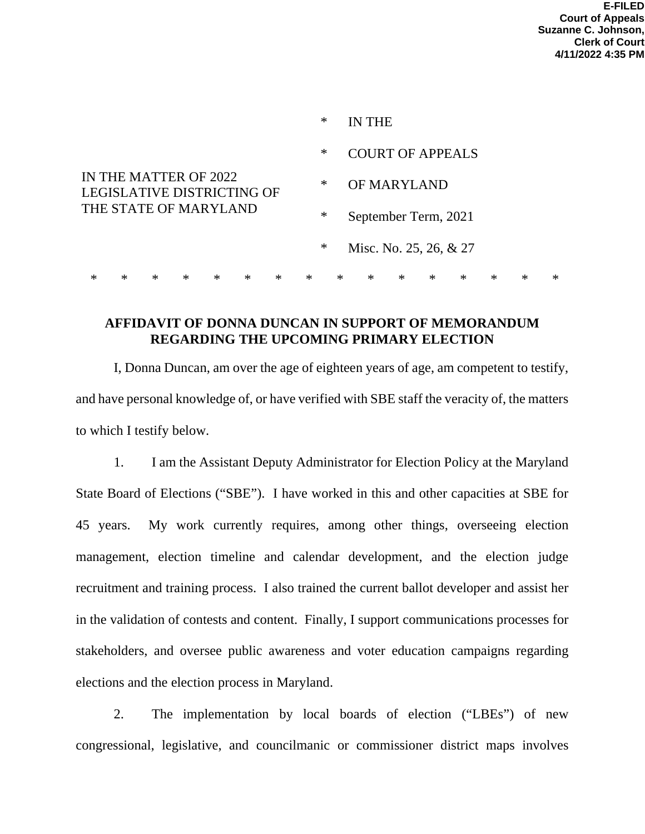|                                                                                     |            |        |        |        |        |        |        |                                | <b>IN THE</b>           |        |                        |        |        |        |        |        |
|-------------------------------------------------------------------------------------|------------|--------|--------|--------|--------|--------|--------|--------------------------------|-------------------------|--------|------------------------|--------|--------|--------|--------|--------|
|                                                                                     |            |        |        |        |        |        | $\ast$ |                                | <b>COURT OF APPEALS</b> |        |                        |        |        |        |        |        |
| IN THE MATTER OF 2022<br><b>LEGISLATIVE DISTRICTING OF</b><br>THE STATE OF MARYLAND |            |        |        |        |        |        | $\ast$ |                                | OF MARYLAND             |        |                        |        |        |        |        |        |
|                                                                                     |            |        |        |        |        |        |        | $\ast$<br>September Term, 2021 |                         |        |                        |        |        |        |        |        |
|                                                                                     |            |        |        |        |        |        | $\ast$ |                                |                         |        | Misc. No. 25, 26, & 27 |        |        |        |        |        |
| ж                                                                                   | $^{\star}$ | $\ast$ | $\ast$ | $\ast$ | $\ast$ | $\ast$ | $\ast$ | $\ast$                         |                         | $\ast$ | $\ast$                 | $\ast$ | $\ast$ | $\ast$ | $\ast$ | $\ast$ |

## **AFFIDAVIT OF DONNA DUNCAN IN SUPPORT OF MEMORANDUM REGARDING THE UPCOMING PRIMARY ELECTION**

I, Donna Duncan, am over the age of eighteen years of age, am competent to testify, and have personal knowledge of, or have verified with SBE staff the veracity of, the matters to which I testify below.

1. I am the Assistant Deputy Administrator for Election Policy at the Maryland State Board of Elections ("SBE"). I have worked in this and other capacities at SBE for 45 years. My work currently requires, among other things, overseeing election management, election timeline and calendar development, and the election judge recruitment and training process. I also trained the current ballot developer and assist her in the validation of contests and content. Finally, I support communications processes for stakeholders, and oversee public awareness and voter education campaigns regarding elections and the election process in Maryland.

2. The implementation by local boards of election ("LBEs") of new congressional, legislative, and councilmanic or commissioner district maps involves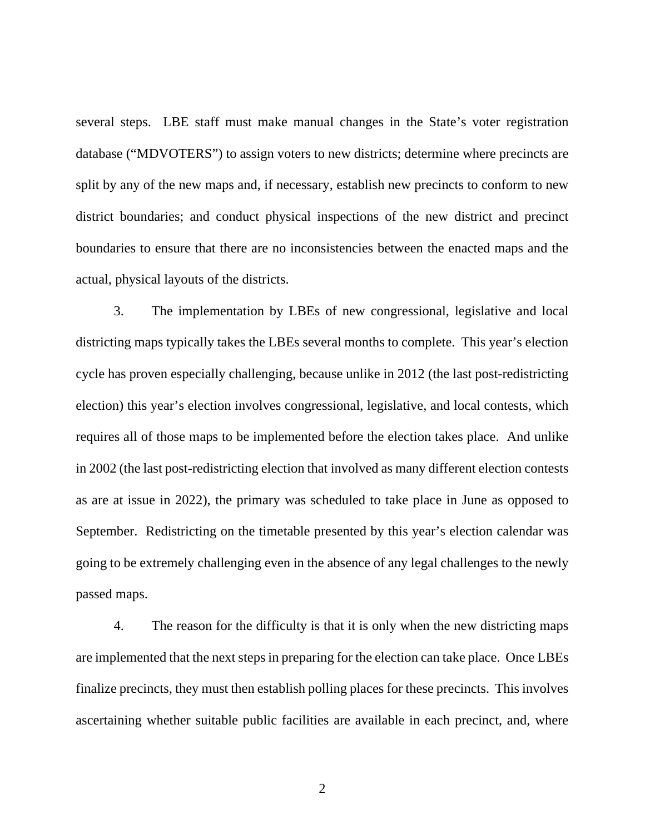several steps. LBE staff must make manual changes in the State's voter registration database ("MDVOTERS") to assign voters to new districts; determine where precincts are split by any of the new maps and, if necessary, establish new precincts to conform to new district boundaries; and conduct physical inspections of the new district and precinct boundaries to ensure that there are no inconsistencies between the enacted maps and the actual, physical layouts of the districts.

3. The implementation by LBEs of new congressional, legislative and local districting maps typically takes the LBEs several months to complete. This year's election cycle has proven especially challenging, because unlike in 2012 (the last post-redistricting election) this year's election involves congressional, legislative, and local contests, which requires all of those maps to be implemented before the election takes place. And unlike in 2002 (the last post-redistricting election that involved as many different election contests as are at issue in 2022), the primary was scheduled to take place in June as opposed to September. Redistricting on the timetable presented by this year's election calendar was going to be extremely challenging even in the absence of any legal challenges to the newly passed maps.

4. The reason for the difficulty is that it is only when the new districting maps are implemented that the next steps in preparing for the election can take place. Once LBEs finalize precincts, they must then establish polling places for these precincts. This involves ascertaining whether suitable public facilities are available in each precinct, and, where

2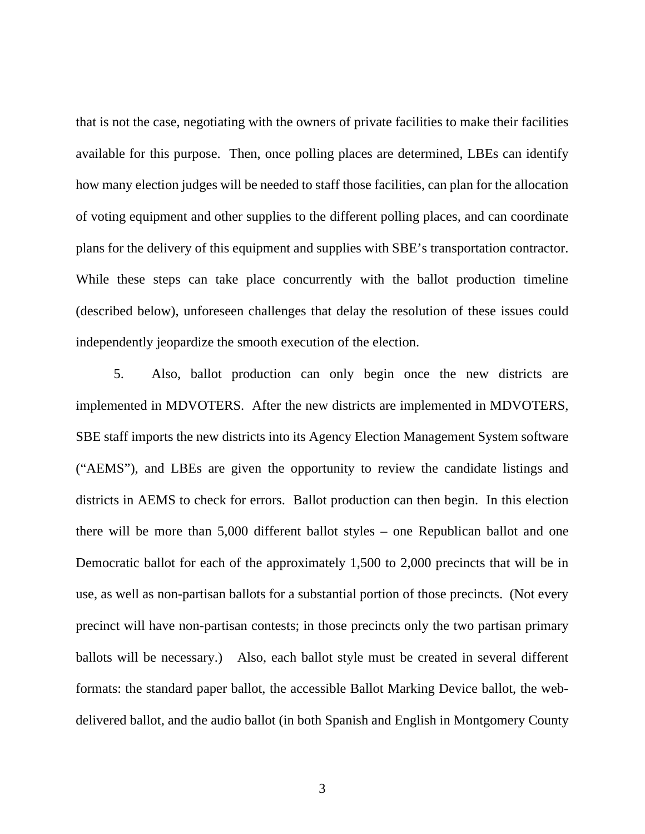that is not the case, negotiating with the owners of private facilities to make their facilities available for this purpose. Then, once polling places are determined, LBEs can identify how many election judges will be needed to staff those facilities, can plan for the allocation of voting equipment and other supplies to the different polling places, and can coordinate plans for the delivery of this equipment and supplies with SBE's transportation contractor. While these steps can take place concurrently with the ballot production timeline (described below), unforeseen challenges that delay the resolution of these issues could independently jeopardize the smooth execution of the election.

5. Also, ballot production can only begin once the new districts are implemented in MDVOTERS. After the new districts are implemented in MDVOTERS, SBE staff imports the new districts into its Agency Election Management System software ("AEMS"), and LBEs are given the opportunity to review the candidate listings and districts in AEMS to check for errors. Ballot production can then begin. In this election there will be more than 5,000 different ballot styles – one Republican ballot and one Democratic ballot for each of the approximately 1,500 to 2,000 precincts that will be in use, as well as non-partisan ballots for a substantial portion of those precincts. (Not every precinct will have non-partisan contests; in those precincts only the two partisan primary ballots will be necessary.) Also, each ballot style must be created in several different formats: the standard paper ballot, the accessible Ballot Marking Device ballot, the webdelivered ballot, and the audio ballot (in both Spanish and English in Montgomery County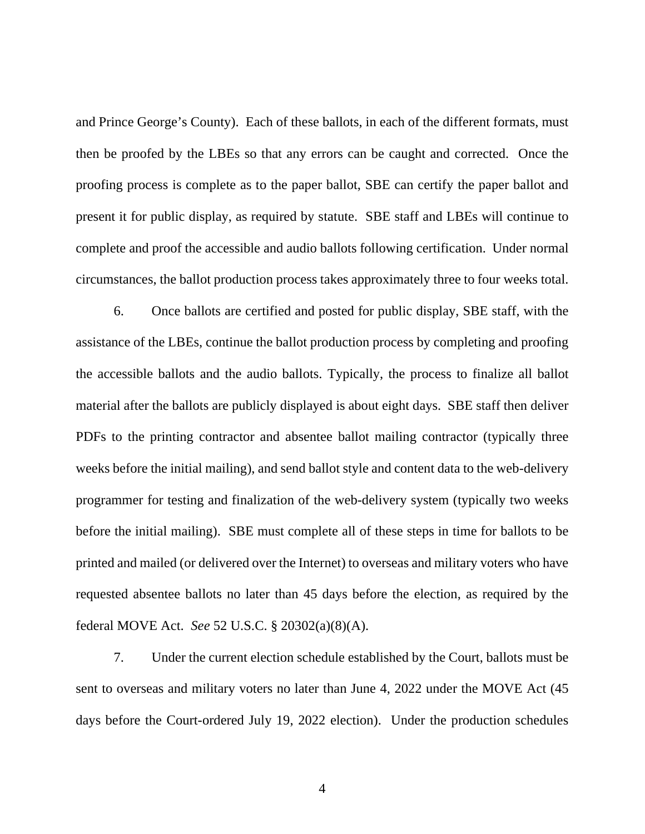and Prince George's County). Each of these ballots, in each of the different formats, must then be proofed by the LBEs so that any errors can be caught and corrected. Once the proofing process is complete as to the paper ballot, SBE can certify the paper ballot and present it for public display, as required by statute. SBE staff and LBEs will continue to complete and proof the accessible and audio ballots following certification. Under normal circumstances, the ballot production process takes approximately three to four weeks total.

6. Once ballots are certified and posted for public display, SBE staff, with the assistance of the LBEs, continue the ballot production process by completing and proofing the accessible ballots and the audio ballots. Typically, the process to finalize all ballot material after the ballots are publicly displayed is about eight days. SBE staff then deliver PDFs to the printing contractor and absentee ballot mailing contractor (typically three weeks before the initial mailing), and send ballot style and content data to the web-delivery programmer for testing and finalization of the web-delivery system (typically two weeks before the initial mailing). SBE must complete all of these steps in time for ballots to be printed and mailed (or delivered over the Internet) to overseas and military voters who have requested absentee ballots no later than 45 days before the election, as required by the federal MOVE Act. *See* 52 U.S.C. § 20302(a)(8)(A).

7. Under the current election schedule established by the Court, ballots must be sent to overseas and military voters no later than June 4, 2022 under the MOVE Act (45 days before the Court-ordered July 19, 2022 election). Under the production schedules

4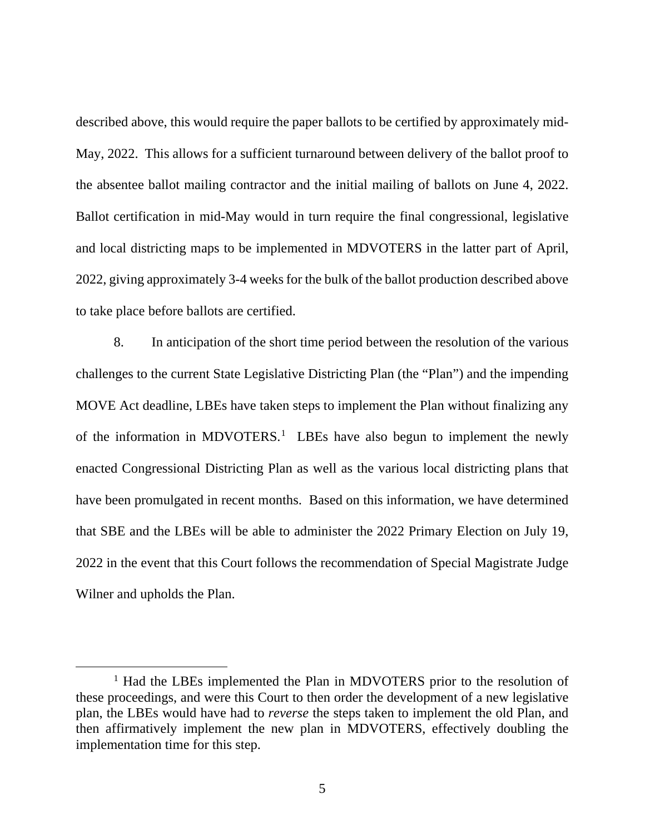described above, this would require the paper ballots to be certified by approximately mid-May, 2022. This allows for a sufficient turnaround between delivery of the ballot proof to the absentee ballot mailing contractor and the initial mailing of ballots on June 4, 2022. Ballot certification in mid-May would in turn require the final congressional, legislative and local districting maps to be implemented in MDVOTERS in the latter part of April, 2022, giving approximately 3-4 weeks for the bulk of the ballot production described above to take place before ballots are certified.

8. In anticipation of the short time period between the resolution of the various challenges to the current State Legislative Districting Plan (the "Plan") and the impending MOVE Act deadline, LBEs have taken steps to implement the Plan without finalizing any of the information in MDVOTERS.<sup>[1](#page-4-0)</sup> LBEs have also begun to implement the newly enacted Congressional Districting Plan as well as the various local districting plans that have been promulgated in recent months. Based on this information, we have determined that SBE and the LBEs will be able to administer the 2022 Primary Election on July 19, 2022 in the event that this Court follows the recommendation of Special Magistrate Judge Wilner and upholds the Plan.

<span id="page-4-0"></span><sup>&</sup>lt;sup>1</sup> Had the LBEs implemented the Plan in MDVOTERS prior to the resolution of these proceedings, and were this Court to then order the development of a new legislative plan, the LBEs would have had to *reverse* the steps taken to implement the old Plan, and then affirmatively implement the new plan in MDVOTERS, effectively doubling the implementation time for this step.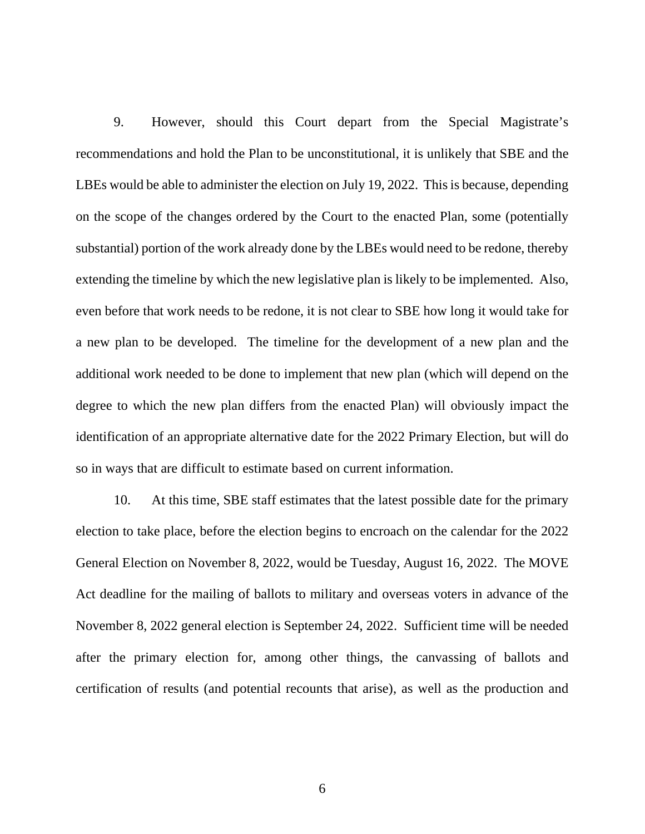9. However, should this Court depart from the Special Magistrate's recommendations and hold the Plan to be unconstitutional, it is unlikely that SBE and the LBEs would be able to administer the election on July 19, 2022. This is because, depending on the scope of the changes ordered by the Court to the enacted Plan, some (potentially substantial) portion of the work already done by the LBEs would need to be redone, thereby extending the timeline by which the new legislative plan is likely to be implemented. Also, even before that work needs to be redone, it is not clear to SBE how long it would take for a new plan to be developed. The timeline for the development of a new plan and the additional work needed to be done to implement that new plan (which will depend on the degree to which the new plan differs from the enacted Plan) will obviously impact the identification of an appropriate alternative date for the 2022 Primary Election, but will do so in ways that are difficult to estimate based on current information.

10. At this time, SBE staff estimates that the latest possible date for the primary election to take place, before the election begins to encroach on the calendar for the 2022 General Election on November 8, 2022, would be Tuesday, August 16, 2022. The MOVE Act deadline for the mailing of ballots to military and overseas voters in advance of the November 8, 2022 general election is September 24, 2022. Sufficient time will be needed after the primary election for, among other things, the canvassing of ballots and certification of results (and potential recounts that arise), as well as the production and